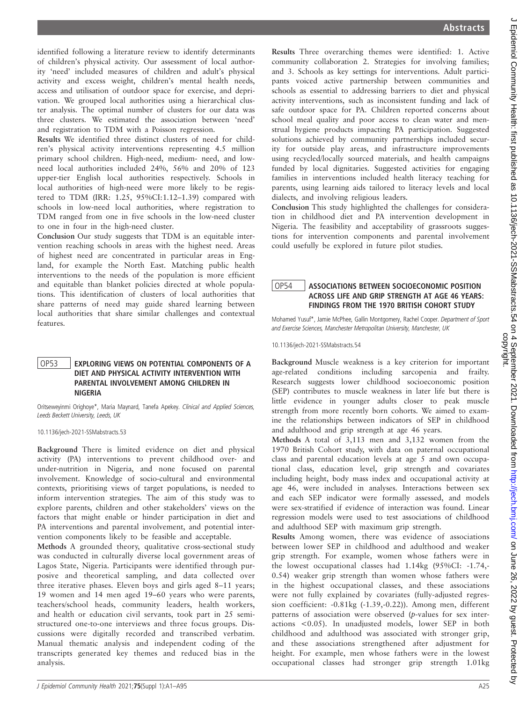identified following a literature review to identify determinants of children's physical activity. Our assessment of local authority 'need' included measures of children and adult's physical activity and excess weight, children's mental health needs, access and utilisation of outdoor space for exercise, and deprivation. We grouped local authorities using a hierarchical cluster analysis. The optimal number of clusters for our data was three clusters. We estimated the association between 'need' and registration to TDM with a Poisson regression.

Results We identified three distinct clusters of need for children's physical activity interventions representing 4.5 million primary school children. High-need, medium- need, and lowneed local authorities included 24%, 56% and 20% of 123 upper-tier English local authorities respectively. Schools in local authorities of high-need were more likely to be registered to TDM (IRR: 1.25, 95%CI:1.12–1.39) compared with schools in low-need local authorities, where registration to TDM ranged from one in five schools in the low-need cluster to one in four in the high-need cluster.

Conclusion Our study suggests that TDM is an equitable intervention reaching schools in areas with the highest need. Areas of highest need are concentrated in particular areas in England, for example the North East. Matching public health interventions to the needs of the population is more efficient and equitable than blanket policies directed at whole populations. This identification of clusters of local authorities that share patterns of need may guide shared learning between local authorities that share similar challenges and contextual features.

### OP53 | EXPLORING VIEWS ON POTENTIAL COMPONENTS OF A DIET AND PHYSICAL ACTIVITY INTERVENTION WITH PARENTAL INVOLVEMENT AMONG CHILDREN IN NIGERIA

Oritseweyinmi Orighoye\*, Maria Maynard, Tanefa Apekey. Clinical and Applied Sciences, Leeds Beckett University, Leeds, UK

10.1136/jech-2021-SSMabstracts.53

Background There is limited evidence on diet and physical activity (PA) interventions to prevent childhood over- and under-nutrition in Nigeria, and none focused on parental involvement. Knowledge of socio-cultural and environmental contexts, prioritising views of target populations, is needed to inform intervention strategies. The aim of this study was to explore parents, children and other stakeholders' views on the factors that might enable or hinder participation in diet and PA interventions and parental involvement, and potential intervention components likely to be feasible and acceptable.

Methods A grounded theory, qualitative cross-sectional study was conducted in culturally diverse local government areas of Lagos State, Nigeria. Participants were identified through purposive and theoretical sampling, and data collected over three iterative phases. Eleven boys and girls aged 8–11 years; 19 women and 14 men aged 19–60 years who were parents, teachers/school heads, community leaders, health workers, and health or education civil servants, took part in 25 semistructured one-to-one interviews and three focus groups. Discussions were digitally recorded and transcribed verbatim. Manual thematic analysis and independent coding of the transcripts generated key themes and reduced bias in the analysis.

Results Three overarching themes were identified: 1. Active community collaboration 2. Strategies for involving families; and 3. Schools as key settings for interventions. Adult participants voiced active partnership between communities and schools as essential to addressing barriers to diet and physical activity interventions, such as inconsistent funding and lack of safe outdoor space for PA. Children reported concerns about school meal quality and poor access to clean water and menstrual hygiene products impacting PA participation. Suggested solutions achieved by community partnerships included security for outside play areas, and infrastructure improvements using recycled/locally sourced materials, and health campaigns funded by local dignitaries. Suggested activities for engaging families in interventions included health literacy teaching for parents, using learning aids tailored to literacy levels and local dialects, and involving religious leaders.

Conclusion This study highlighted the challenges for consideration in childhood diet and PA intervention development in Nigeria. The feasibility and acceptability of grassroots suggestions for intervention components and parental involvement could usefully be explored in future pilot studies.

## OP54 ASSOCIATIONS BETWEEN SOCIOECONOMIC POSITION ACROSS LIFE AND GRIP STRENGTH AT AGE 46 YEARS: FINDINGS FROM THE 1970 BRITISH COHORT STUDY

Mohamed Yusuf\*, Jamie McPhee, Gallin Montgomery, Rachel Cooper. Department of Sport and Exercise Sciences, Manchester Metropolitan University, Manchester, UK

10.1136/jech-2021-SSMabstracts.54

Background Muscle weakness is a key criterion for important age-related conditions including sarcopenia and frailty. Research suggests lower childhood socioeconomic position (SEP) contributes to muscle weakness in later life but there is little evidence in younger adults closer to peak muscle strength from more recently born cohorts. We aimed to examine the relationships between indicators of SEP in childhood and adulthood and grip strength at age 46 years.

Methods A total of 3,113 men and 3,132 women from the 1970 British Cohort study, with data on paternal occupational class and parental education levels at age 5 and own occupational class, education level, grip strength and covariates including height, body mass index and occupational activity at age 46, were included in analyses. Interactions between sex and each SEP indicator were formally assessed, and models were sex-stratified if evidence of interaction was found. Linear regression models were used to test associations of childhood and adulthood SEP with maximum grip strength.

Results Among women, there was evidence of associations between lower SEP in childhood and adulthood and weaker grip strength. For example, women whose fathers were in the lowest occupational classes had 1.14kg (95%CI: -1.74,- 0.54) weaker grip strength than women whose fathers were in the highest occupational classes, and these associations were not fully explained by covariates (fully-adjusted regression coefficient: -0.81kg (-1.39,-0.22)). Among men, different patterns of association were observed (p-values for sex interactions <0.05). In unadjusted models, lower SEP in both childhood and adulthood was associated with stronger grip, and these associations strengthened after adjustment for height. For example, men whose fathers were in the lowest occupational classes had stronger grip strength 1.01kg